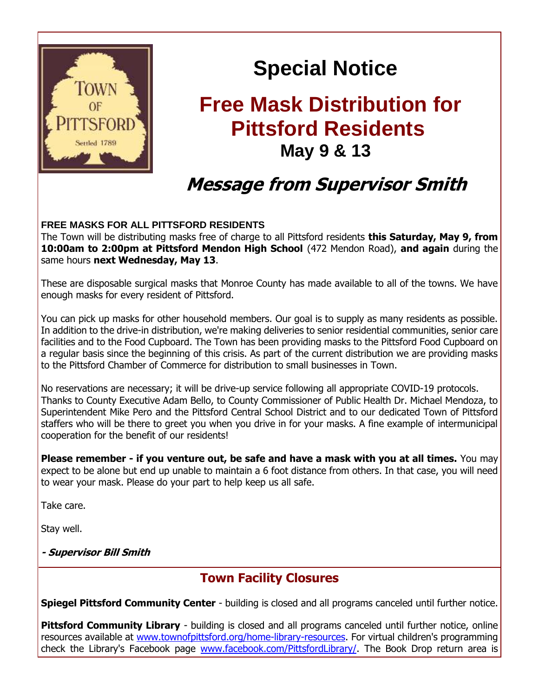

# **Special Notice**

## **Free Mask Distribution for Pittsford Residents May 9 & 13**

### **Message from Supervisor Smith**

#### **FREE MASKS FOR ALL PITTSFORD RESIDENTS**

The Town will be distributing masks free of charge to all Pittsford residents **this Saturday, May 9, from 10:00am to 2:00pm at Pittsford Mendon High School** (472 Mendon Road), **and again** during the same hours **next Wednesday, May 13**.

These are disposable surgical masks that Monroe County has made available to all of the towns. We have enough masks for every resident of Pittsford.

You can pick up masks for other household members. Our goal is to supply as many residents as possible. In addition to the drive-in distribution, we're making deliveries to senior residential communities, senior care facilities and to the Food Cupboard. The Town has been providing masks to the Pittsford Food Cupboard on a regular basis since the beginning of this crisis. As part of the current distribution we are providing masks to the Pittsford Chamber of Commerce for distribution to small businesses in Town.

No reservations are necessary; it will be drive-up service following all appropriate COVID-19 protocols. Thanks to County Executive Adam Bello, to County Commissioner of Public Health Dr. Michael Mendoza, to Superintendent Mike Pero and the Pittsford Central School District and to our dedicated Town of Pittsford staffers who will be there to greet you when you drive in for your masks. A fine example of intermunicipal cooperation for the benefit of our residents!

**Please remember - if you venture out, be safe and have a mask with you at all times.** You may expect to be alone but end up unable to maintain a 6 foot distance from others. In that case, you will need to wear your mask. Please do your part to help keep us all safe.

Take care.

Stay well.

**- Supervisor Bill Smith**

#### **Town Facility Closures**

**Spiegel Pittsford Community Center** - building is closed and all programs canceled until further notice.

**Pittsford Community Library** - building is closed and all programs canceled until further notice, online resources available at [www.townofpittsford.org/home-library-resources.](http://r20.rs6.net/tn.jsp?f=001O481nDpCk7WnnxwPyU3SKW8arLIux3F5e_hqHfhQpKZDZoNB8o_aYaXNcKvy3yergTgqdROsksKSFfFBo4EKUkofKNjnzN1_9h3q8_jN3q4TRWCGNsXnT8DF6p3XDwooCUoRcj1BFqkfZ3mgA-Bl0EkPxtdCClhIXFNYWO49CBZnXu407FlKOt0vC6nCXDY-eA0DpHhoMYGIWfmH19CcPiaKFfp5MBRdYbsRtoWxshqAtpCgXHB9JvGatkPOkZOZWupEzmP9RwguWGZ0-JiKT6DRyvTW1kTn8QYM9qdDBLpShP4KFJuxCbc7-G6gO-st8BUBQJt3HXdrmHar4UjSANAAlhKyHg8mLYf8ISNyfbk6cCFWIIIrOIhvtLgWjzUb7pscMjdm3COeeYJwhmv-yomDPAzwOMG8&c=WidsXRj73XVuXtxyZtysC9b2usNeq9tJG1_pZcRCha9WVsm7LLqokg==&ch=jUP43Wl9mmA50GS0hUBiQCS8ptYYTPeGKqNX_9bDv70YRRVs_w3aAQ==) For virtual children's programming check the Library's Facebook page [www.facebook.com/PittsfordLibrary/.](http://r20.rs6.net/tn.jsp?f=001O481nDpCk7WnnxwPyU3SKW8arLIux3F5e_hqHfhQpKZDZoNB8o_aYbaUgw8sN1Q9mlTxREKPCD3Z3sH1WoxVeg83MQYI8yVcI3wZv-SXmCHHT5XuCAxWjX14luhLc8JPnxHGz9fRVrTFvurTLCoefJlF8M8z9KAJZBLFGQ8_D1_zJYIoAIEMKZkuE_lsXgnRTtU1WFwkjV8=&c=WidsXRj73XVuXtxyZtysC9b2usNeq9tJG1_pZcRCha9WVsm7LLqokg==&ch=jUP43Wl9mmA50GS0hUBiQCS8ptYYTPeGKqNX_9bDv70YRRVs_w3aAQ==) The Book Drop return area is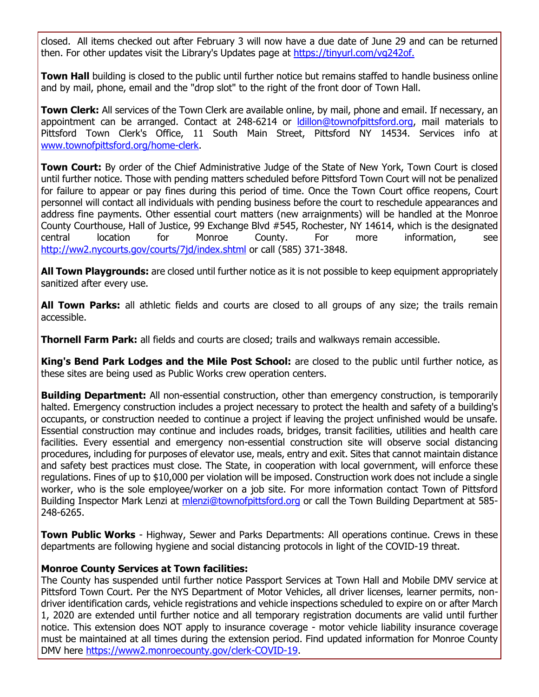closed. All items checked out after February 3 will now have a due date of June 29 and can be returned then. For other updates visit the Library's Updates page at [https://tinyurl.com/vg242of.](http://r20.rs6.net/tn.jsp?f=001O481nDpCk7WnnxwPyU3SKW8arLIux3F5e_hqHfhQpKZDZoNB8o_aYbaUgw8sN1Q9RCy8STQ8EWVfhv2Bgj7HzDa2S3FLMcYTO-l_oaKamA_83zdUipxvopFkfk-wufqkNmEeTh1aJTkrGl1pR8V9xMFa3kQfHI2ghNDtU4_13oFiHSgCJ01VIg==&c=WidsXRj73XVuXtxyZtysC9b2usNeq9tJG1_pZcRCha9WVsm7LLqokg==&ch=jUP43Wl9mmA50GS0hUBiQCS8ptYYTPeGKqNX_9bDv70YRRVs_w3aAQ==)

**Town Hall** building is closed to the public until further notice but remains staffed to handle business online and by mail, phone, email and the "drop slot" to the right of the front door of Town Hall.

**Town Clerk:** All services of the Town Clerk are available online, by mail, phone and email. If necessary, an appointment can be arranged. Contact at 248-6214 or **Idillon@townofpittsford.org**, mail materials to Pittsford Town Clerk's Office, 11 South Main Street, Pittsford NY 14534. Services info at [www.townofpittsford.org/home-clerk.](http://r20.rs6.net/tn.jsp?f=001O481nDpCk7WnnxwPyU3SKW8arLIux3F5e_hqHfhQpKZDZoNB8o_aYaXNcKvy3yerHrvR1ovBWB0eIQwNCtBuOFdV28qUV48TihvkO8bjE3sC0nstXYqqMgCjp94Mv0MyBs5O-Rl8BOQkjpPvfib_ooMWzexBaoLNsNusgpYevbrZVe0uB_8uCj5xcTSZ1oiyZuh4NLmyf_gDAnvqYfHNMFNTtNWz-iFjZq_xOI5IjmO95jFbSOJjmnXIQHmUtvYahsvSlgqoNy2hIaTzVJNOOb1ImqosPs3b78yzDYshLZhwyLPsuv2eutEBNdqQb2Iv2IBMDC2X-akZmNrZhPrn80o75JXZOA7cGHYR5LafR2Dqly9L3GtQp81jAWj64yBqWP7RVHVdQQY=&c=WidsXRj73XVuXtxyZtysC9b2usNeq9tJG1_pZcRCha9WVsm7LLqokg==&ch=jUP43Wl9mmA50GS0hUBiQCS8ptYYTPeGKqNX_9bDv70YRRVs_w3aAQ==)

**Town Court:** By order of the Chief Administrative Judge of the State of New York, Town Court is closed until further notice. Those with pending matters scheduled before Pittsford Town Court will not be penalized for failure to appear or pay fines during this period of time. Once the Town Court office reopens, Court personnel will contact all individuals with pending business before the court to reschedule appearances and address fine payments. Other essential court matters (new arraignments) will be handled at the Monroe County Courthouse, Hall of Justice, 99 Exchange Blvd #545, Rochester, NY 14614, which is the designated central location for Monroe County. For more information, see [http://ww2.nycourts.gov/courts/7jd/index.shtml](http://r20.rs6.net/tn.jsp?f=001O481nDpCk7WnnxwPyU3SKW8arLIux3F5e_hqHfhQpKZDZoNB8o_aYSwzwTkJx52kSMKUHOiNPpoTlQ0RM_RT2wbf2NpIvFvGTFF1_WawpGcbbN6BsTlA_WdGcv9hJsDbUxen1OAigIHqUDu3HjtLwJL-BOkHZfbW7OhHvSPfvFiFbf9Nol8tUNnLZMOTLlQ7H7R1JJAQPCpPi9gDkwjGkCnpTh9ymCSLgRvCmj5tENnPWhAy6gw4RGyj0wgKloRRZ-5GbCiF20E9BYSwfowkQ-0ZjqjCwYv3wCGdnrQVYYKid1MLq83JNrNcCVBnzShJ6tZbWd9YqTHrWUXAzZFOEfZ-AL0erpBjUHo0QiXt_ZG7oqIzPoXf6mlvSFCRcPeta5z50_FhZG2Fnv0AXhHIjQ==&c=WidsXRj73XVuXtxyZtysC9b2usNeq9tJG1_pZcRCha9WVsm7LLqokg==&ch=jUP43Wl9mmA50GS0hUBiQCS8ptYYTPeGKqNX_9bDv70YRRVs_w3aAQ==) or call (585) 371-3848.

**All Town Playgrounds:** are closed until further notice as it is not possible to keep equipment appropriately sanitized after every use.

**All Town Parks:** all athletic fields and courts are closed to all groups of any size; the trails remain accessible.

**Thornell Farm Park:** all fields and courts are closed; trails and walkways remain accessible.

**King's Bend Park Lodges and the Mile Post School:** are closed to the public until further notice, as these sites are being used as Public Works crew operation centers.

**Building Department:** All non-essential construction, other than emergency construction, is temporarily halted. Emergency construction includes a project necessary to protect the health and safety of a building's occupants, or construction needed to continue a project if leaving the project unfinished would be unsafe. Essential construction may continue and includes roads, bridges, transit facilities, utilities and health care facilities. Every essential and emergency non-essential construction site will observe social distancing procedures, including for purposes of elevator use, meals, entry and exit. Sites that cannot maintain distance and safety best practices must close. The State, in cooperation with local government, will enforce these regulations. Fines of up to \$10,000 per violation will be imposed. Construction work does not include a single worker, who is the sole employee/worker on a job site. For more information contact Town of Pittsford Building Inspector Mark Lenzi at [mlenzi@townofpittsford.org](mailto:mlenzi@townofpittsford.org?subject=COVID-19%20Construciton%20Information) or call the Town Building Department at 585-248-6265.

**Town Public Works** - Highway, Sewer and Parks Departments: All operations continue. Crews in these departments are following hygiene and social distancing protocols in light of the COVID-19 threat.

#### **Monroe County Services at Town facilities:**

The County has suspended until further notice Passport Services at Town Hall and Mobile DMV service at Pittsford Town Court. Per the NYS Department of Motor Vehicles, all driver licenses, learner permits, nondriver identification cards, vehicle registrations and vehicle inspections scheduled to expire on or after March 1, 2020 are extended until further notice and all temporary registration documents are valid until further notice. This extension does NOT apply to insurance coverage - motor vehicle liability insurance coverage must be maintained at all times during the extension period. Find updated information for Monroe County DMV here [https://www2.monroecounty.gov/clerk-COVID-19.](http://r20.rs6.net/tn.jsp?f=001O481nDpCk7WnnxwPyU3SKW8arLIux3F5e_hqHfhQpKZDZoNB8o_aYcnGGLh9miqkepC_IS_HflCxMpnvJed9lUV9ArOYFwIACEdIPUkUGWge0YYpdLe60Axz7Vtbp-XpGcoM4kiVJIVBeY2yCweSvItAyCup0Blw33ppLIWkowcMHZwNV02QULhiZiGrOzeF8v3c-kdvxeyrCnl0UKg4BFJo0Lnao99IU-z6K9ZGVRjMO46rud6bjFikpdv2vxSn58ESNj8VN7KApjN7Cw5kE6JUL6uhLvCIUevUoKWim7qQzu_HjFompeSPAbx-VkBLdCwZDAvJtWu79nBv1ifN2FLkUeztCpLMNZVtwMvh7E8iPdkuMIBhPSaKzWtv3yfPDnsLqKoHWW5qDtZRF2t6uw==&c=WidsXRj73XVuXtxyZtysC9b2usNeq9tJG1_pZcRCha9WVsm7LLqokg==&ch=jUP43Wl9mmA50GS0hUBiQCS8ptYYTPeGKqNX_9bDv70YRRVs_w3aAQ==)